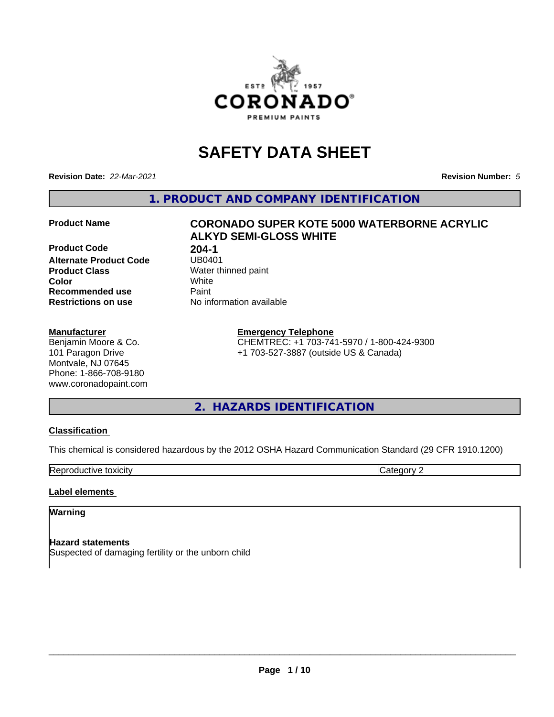

# **SAFETY DATA SHEET**

**Revision Date:** *22-Mar-2021* **Revision Number:** *5*

**1. PRODUCT AND COMPANY IDENTIFICATION**

**Product Code 18 204-1<br>Alternate Product Code 18 UB0401 Alternate Product Code**<br>Product Class **Product Class** Water thinned paint<br> **Color** White **Color** White **Recommended use Caint Restrictions on use** No information available

# **Manufacturer**

Benjamin Moore & Co. 101 Paragon Drive Montvale, NJ 07645 Phone: 1-866-708-9180 www.coronadopaint.com

# **Product Name CORONADO SUPER KOTE 5000 WATERBORNE ACRYLIC ALKYD SEMI-GLOSS WHITE**

**Emergency Telephone** CHEMTREC: +1 703-741-5970 / 1-800-424-9300

+1 703-527-3887 (outside US & Canada)

**2. HAZARDS IDENTIFICATION**

# **Classification**

This chemical is considered hazardous by the 2012 OSHA Hazard Communication Standard (29 CFR 1910.1200)

**Reproductive toxicity** Category 2

# **Label elements**

# **Warning**

**Hazard statements** Suspected of damaging fertility or the unborn child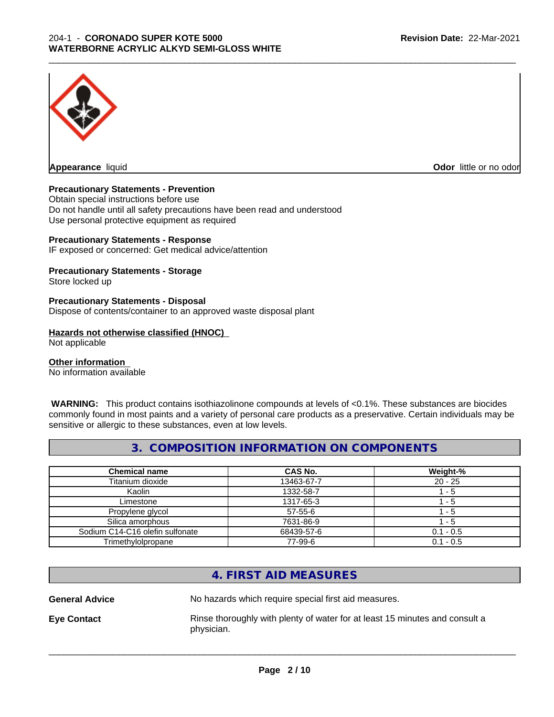

**Appearance** liquid

**Odor** little or no odor

# **Precautionary Statements - Prevention**

Obtain special instructions before use Do not handle until all safety precautions have been read and understood Use personal protective equipment as required

# **Precautionary Statements - Response**

IF exposed or concerned: Get medical advice/attention

# **Precautionary Statements - Storage**

Store locked up

#### **Precautionary Statements - Disposal**

Dispose of contents/container to an approved waste disposal plant

#### **Hazards not otherwise classified (HNOC)**

Not applicable

#### **Other information**

No information available

 **WARNING:** This product contains isothiazolinone compounds at levels of <0.1%. These substances are biocides commonly found in most paints and a variety of personal care products as a preservative. Certain individuals may be sensitive or allergic to these substances, even at low levels.

\_\_\_\_\_\_\_\_\_\_\_\_\_\_\_\_\_\_\_\_\_\_\_\_\_\_\_\_\_\_\_\_\_\_\_\_\_\_\_\_\_\_\_\_\_\_\_\_\_\_\_\_\_\_\_\_\_\_\_\_\_\_\_\_\_\_\_\_\_\_\_\_\_\_\_\_\_\_\_\_\_\_\_\_\_\_\_\_\_\_\_\_\_

# **3. COMPOSITION INFORMATION ON COMPONENTS**

| <b>Chemical name</b>            | <b>CAS No.</b> | Weight-%    |
|---------------------------------|----------------|-------------|
| Titanium dioxide                | 13463-67-7     | $20 - 25$   |
| Kaolin                          | 1332-58-7      | - 5         |
| Limestone                       | 1317-65-3      | - 5         |
| Propylene glycol                | $57 - 55 - 6$  | - 5         |
| Silica amorphous                | 7631-86-9      | - 5         |
| Sodium C14-C16 olefin sulfonate | 68439-57-6     | $0.1 - 0.5$ |
| Trimethylolpropane              | 77-99-6        | $0.1 - 0.5$ |

# **4. FIRST AID MEASURES**

**General Advice** No hazards which require special first aid measures.

**Eye Contact Rinse thoroughly with plenty of water for at least 15 minutes and consult a** physician.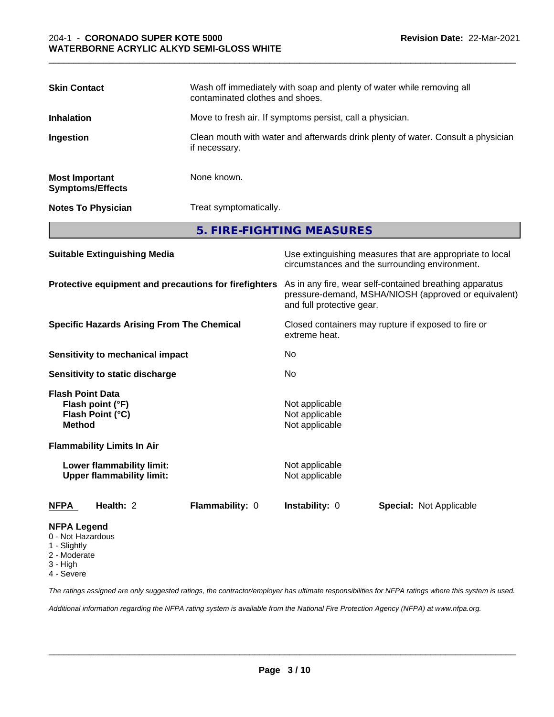| <b>Skin Contact</b>                              | Wash off immediately with soap and plenty of water while removing all<br>contaminated clothes and shoes. |
|--------------------------------------------------|----------------------------------------------------------------------------------------------------------|
| <b>Inhalation</b>                                | Move to fresh air. If symptoms persist, call a physician.                                                |
| Ingestion                                        | Clean mouth with water and afterwards drink plenty of water. Consult a physician<br>if necessary.        |
| <b>Most Important</b><br><b>Symptoms/Effects</b> | None known.                                                                                              |
| <b>Notes To Physician</b>                        | Treat symptomatically.                                                                                   |
|                                                  | 5. FIRE-FIGHTING MEASURES                                                                                |

| <b>Suitable Extinguishing Media</b>                                              | Use extinguishing measures that are appropriate to local<br>circumstances and the surrounding environment.                                   |
|----------------------------------------------------------------------------------|----------------------------------------------------------------------------------------------------------------------------------------------|
| Protective equipment and precautions for firefighters                            | As in any fire, wear self-contained breathing apparatus<br>pressure-demand, MSHA/NIOSH (approved or equivalent)<br>and full protective gear. |
| <b>Specific Hazards Arising From The Chemical</b>                                | Closed containers may rupture if exposed to fire or<br>extreme heat.                                                                         |
| Sensitivity to mechanical impact                                                 | No.                                                                                                                                          |
| Sensitivity to static discharge                                                  | No.                                                                                                                                          |
| <b>Flash Point Data</b><br>Flash point (°F)<br>Flash Point (°C)<br><b>Method</b> | Not applicable<br>Not applicable<br>Not applicable                                                                                           |
| <b>Flammability Limits In Air</b>                                                |                                                                                                                                              |
| Lower flammability limit:<br><b>Upper flammability limit:</b>                    | Not applicable<br>Not applicable                                                                                                             |
| Health: 2<br>Flammability: 0<br>NFPA                                             | <b>Instability: 0</b><br><b>Special: Not Applicable</b>                                                                                      |
| <b>NFPA Legend</b><br>0 - Not Hazardous<br>1 - Slightly                          |                                                                                                                                              |

- 
- 2 Moderate
- 3 High
- 4 Severe

*The ratings assigned are only suggested ratings, the contractor/employer has ultimate responsibilities for NFPA ratings where this system is used.*

*Additional information regarding the NFPA rating system is available from the National Fire Protection Agency (NFPA) at www.nfpa.org.*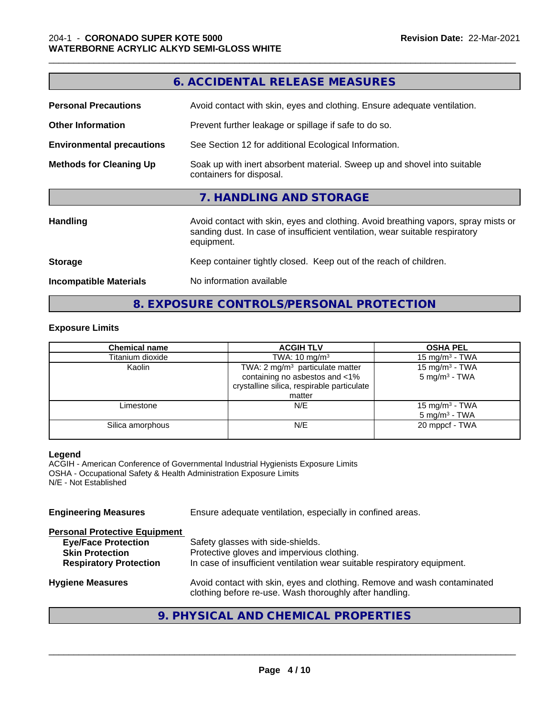|                                  | 6. ACCIDENTAL RELEASE MEASURES                                                                                                                                                   |
|----------------------------------|----------------------------------------------------------------------------------------------------------------------------------------------------------------------------------|
| <b>Personal Precautions</b>      | Avoid contact with skin, eyes and clothing. Ensure adequate ventilation.                                                                                                         |
| <b>Other Information</b>         | Prevent further leakage or spillage if safe to do so.                                                                                                                            |
| <b>Environmental precautions</b> | See Section 12 for additional Ecological Information.                                                                                                                            |
| <b>Methods for Cleaning Up</b>   | Soak up with inert absorbent material. Sweep up and shovel into suitable<br>containers for disposal.                                                                             |
|                                  | 7. HANDLING AND STORAGE                                                                                                                                                          |
| <b>Handling</b>                  | Avoid contact with skin, eyes and clothing. Avoid breathing vapors, spray mists or<br>sanding dust. In case of insufficient ventilation, wear suitable respiratory<br>equipment. |
| <b>Storage</b>                   | Keep container tightly closed. Keep out of the reach of children.                                                                                                                |
| <b>Incompatible Materials</b>    | No information available                                                                                                                                                         |
|                                  |                                                                                                                                                                                  |

**6. ACCIDENTAL RELEASE MEASURES**

# **Exposure Limits**

| <b>Chemical name</b> | <b>ACGIH TLV</b>                                                                                                                      |                                                        |
|----------------------|---------------------------------------------------------------------------------------------------------------------------------------|--------------------------------------------------------|
| Titanium dioxide     | TWA: $10 \text{ mg/m}^3$                                                                                                              | 15 mg/m <sup>3</sup> - TWA                             |
| Kaolin               | TWA: 2 mg/m <sup>3</sup> particulate matter<br>containing no asbestos and <1%<br>crystalline silica, respirable particulate<br>matter | 15 mg/m $3$ - TWA<br>$5$ mg/m <sup>3</sup> - TWA       |
| Limestone            | N/E                                                                                                                                   | 15 mg/m <sup>3</sup> - TWA<br>$5 \text{ mg/m}^3$ - TWA |
| Silica amorphous     | N/E                                                                                                                                   | 20 mppcf - TWA                                         |

**8. EXPOSURE CONTROLS/PERSONAL PROTECTION**

# **Legend**

ACGIH - American Conference of Governmental Industrial Hygienists Exposure Limits OSHA - Occupational Safety & Health Administration Exposure Limits N/E - Not Established

**Engineering Measures** Ensure adequate ventilation, especially in confined areas.

| <b>Personal Protective Equipment</b> |                                                                                                                                     |
|--------------------------------------|-------------------------------------------------------------------------------------------------------------------------------------|
| <b>Eye/Face Protection</b>           | Safety glasses with side-shields.                                                                                                   |
| <b>Skin Protection</b>               | Protective gloves and impervious clothing.                                                                                          |
| <b>Respiratory Protection</b>        | In case of insufficient ventilation wear suitable respiratory equipment.                                                            |
| <b>Hygiene Measures</b>              | Avoid contact with skin, eyes and clothing. Remove and wash contaminated<br>clothing before re-use. Wash thoroughly after handling. |
|                                      |                                                                                                                                     |

# **9. PHYSICAL AND CHEMICAL PROPERTIES**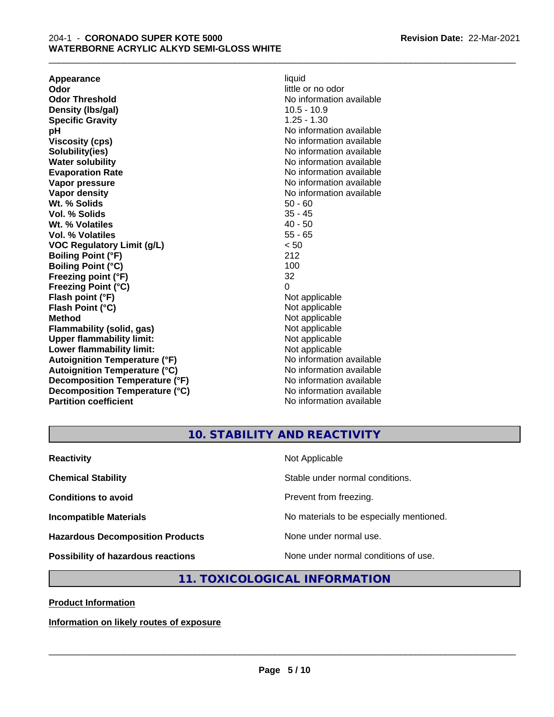**Appearance** liquid **and a limitation of the contract of the contract of the contract of the contract of the contract of the contract of the contract of the contract of the contract of the contract of the contract of the c Odor Threshold** No information available **Density (lbs/gal)** 10.5 - 10.9 **Specific Gravity** 1.25 - 1.30 **pH pH**  $\blacksquare$ **Viscosity (cps)** No information available in the Viscosity (cps) **Solubility(ies)** No information available **Water solubility** No information available **Evaporation Rate No information available No information available Vapor pressure** No information available **Vapor density No information available No** information available **Wt. % Solids** 50 - 60<br> **Vol. % Solids** 35 - 45 **Vol. % Solids** 35 - 45<br> **Wt. % Volatiles** 35 - 45 **Wt. % Volatiles Vol. % Volatiles** 55 - 65 **VOC Regulatory Limit (g/L)** < 50 **Boiling Point (°F)** 212 **Boiling Point (°C)** 100<br> **Preezing point (°F)** 32 **Freezing point (°F) Freezing Point (°C)** 0 **Flash point (°F)** Not applicable **Flash Point (°C)** Not applicable **Method**<br> **Flammability (solid, gas)**<br> **Commability (solid, gas)**<br>
Mot applicable **Flammability (solid, gas)**<br> **Upper flammability limit:**<br>
Upper flammability limit:<br>  $\begin{array}{ccc}\n\bullet & \bullet & \bullet \\
\bullet & \bullet & \bullet\n\end{array}$ **Upper flammability limit:**<br> **Lower flammability limit:**<br>
Not applicable<br>
Not applicable **Lower flammability limit:**<br> **Autoianition Temperature (°F)** Not applicable Not applicable not a Not applicable **Autoignition Temperature (°F) Autoignition Temperature (°C)** No information available **Decomposition Temperature (°F)** No information available **Decomposition Temperature (°C)** No information available **Partition coefficient** No information available

\_\_\_\_\_\_\_\_\_\_\_\_\_\_\_\_\_\_\_\_\_\_\_\_\_\_\_\_\_\_\_\_\_\_\_\_\_\_\_\_\_\_\_\_\_\_\_\_\_\_\_\_\_\_\_\_\_\_\_\_\_\_\_\_\_\_\_\_\_\_\_\_\_\_\_\_\_\_\_\_\_\_\_\_\_\_\_\_\_\_\_\_\_

little or no odor

**10. STABILITY AND REACTIVITY**

| <b>Reactivity</b>                       | Not Applicable                           |
|-----------------------------------------|------------------------------------------|
| <b>Chemical Stability</b>               | Stable under normal conditions.          |
| <b>Conditions to avoid</b>              | Prevent from freezing.                   |
| <b>Incompatible Materials</b>           | No materials to be especially mentioned. |
| <b>Hazardous Decomposition Products</b> | None under normal use.                   |
| Possibility of hazardous reactions      | None under normal conditions of use.     |

# **11. TOXICOLOGICAL INFORMATION**

**Product Information**

**Information on likely routes of exposure**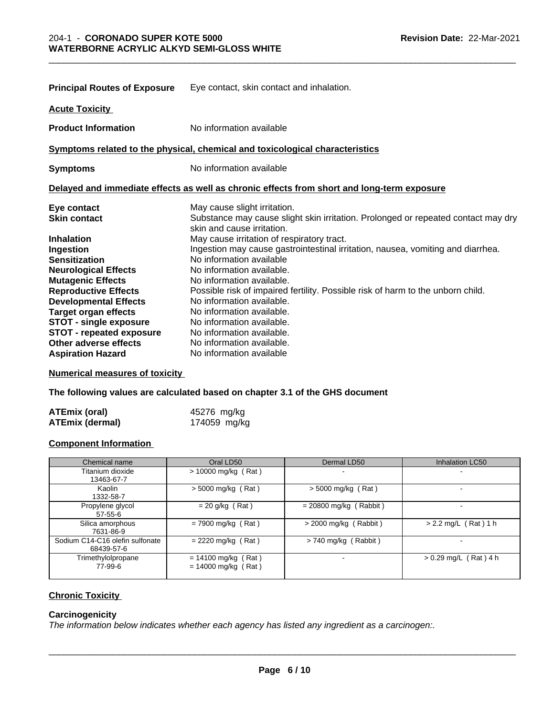| <b>Principal Routes of Exposure</b> | Eye contact, skin contact and inhalation.                                                                       |
|-------------------------------------|-----------------------------------------------------------------------------------------------------------------|
| <b>Acute Toxicity</b>               |                                                                                                                 |
| <b>Product Information</b>          | No information available                                                                                        |
|                                     | Symptoms related to the physical, chemical and toxicological characteristics                                    |
| <b>Symptoms</b>                     | No information available                                                                                        |
|                                     | Delayed and immediate effects as well as chronic effects from short and long-term exposure                      |
| Eye contact                         | May cause slight irritation.                                                                                    |
| <b>Skin contact</b>                 | Substance may cause slight skin irritation. Prolonged or repeated contact may dry<br>skin and cause irritation. |
| <b>Inhalation</b>                   | May cause irritation of respiratory tract.                                                                      |
| Ingestion                           | Ingestion may cause gastrointestinal irritation, nausea, vomiting and diarrhea.                                 |
| <b>Sensitization</b>                | No information available                                                                                        |
| <b>Neurological Effects</b>         | No information available.                                                                                       |
| <b>Mutagenic Effects</b>            | No information available.                                                                                       |
| <b>Reproductive Effects</b>         | Possible risk of impaired fertility. Possible risk of harm to the unborn child.                                 |
| <b>Developmental Effects</b>        | No information available.                                                                                       |
| <b>Target organ effects</b>         | No information available.                                                                                       |
| STOT - single exposure              | No information available.                                                                                       |
| <b>STOT - repeated exposure</b>     | No information available.                                                                                       |
| Other adverse effects               | No information available.                                                                                       |
| <b>Aspiration Hazard</b>            | No information available                                                                                        |

\_\_\_\_\_\_\_\_\_\_\_\_\_\_\_\_\_\_\_\_\_\_\_\_\_\_\_\_\_\_\_\_\_\_\_\_\_\_\_\_\_\_\_\_\_\_\_\_\_\_\_\_\_\_\_\_\_\_\_\_\_\_\_\_\_\_\_\_\_\_\_\_\_\_\_\_\_\_\_\_\_\_\_\_\_\_\_\_\_\_\_\_\_

**Numerical measures of toxicity**

**The following values are calculated based on chapter 3.1 of the GHS document**

| <b>ATEmix (oral)</b> | 45276 mg/kg  |
|----------------------|--------------|
| ATEmix (dermal)      | 174059 mg/kg |

# **Component Information**

| Chemical name                                 | Oral LD50                                      | Dermal LD50              | <b>Inhalation LC50</b>   |
|-----------------------------------------------|------------------------------------------------|--------------------------|--------------------------|
| Titanium dioxide<br>13463-67-7                | $> 10000$ mg/kg (Rat)                          | -                        |                          |
| Kaolin<br>1332-58-7                           | $>$ 5000 mg/kg (Rat)                           | $>$ 5000 mg/kg (Rat)     |                          |
| Propylene glycol<br>$57 - 55 - 6$             | $= 20$ g/kg (Rat)                              | $= 20800$ mg/kg (Rabbit) |                          |
| Silica amorphous<br>7631-86-9                 | $= 7900$ mg/kg (Rat)                           | > 2000 mg/kg (Rabbit)    | $> 2.2$ mg/L (Rat) 1 h   |
| Sodium C14-C16 olefin sulfonate<br>68439-57-6 | $= 2220$ mg/kg (Rat)                           | $> 740$ mg/kg (Rabbit)   | $\overline{\phantom{a}}$ |
| Trimethylolpropane<br>77-99-6                 | $= 14100$ mg/kg (Rat)<br>$= 14000$ mg/kg (Rat) |                          | $> 0.29$ mg/L (Rat) 4 h  |

# **Chronic Toxicity**

#### **Carcinogenicity**

*The information below indicateswhether each agency has listed any ingredient as a carcinogen:.*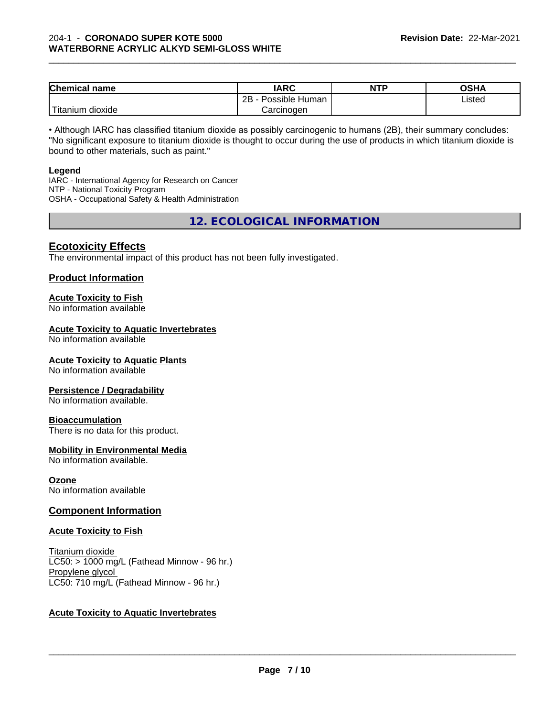| <b>Chemical name</b>   | <b>IARC</b>          | <b>NTP</b> | <b>OSHA</b> |  |
|------------------------|----------------------|------------|-------------|--|
|                        | 2B<br>Possible Human |            | Listed      |  |
| 'Titanium<br>n dioxide | Carcinogen           |            |             |  |

\_\_\_\_\_\_\_\_\_\_\_\_\_\_\_\_\_\_\_\_\_\_\_\_\_\_\_\_\_\_\_\_\_\_\_\_\_\_\_\_\_\_\_\_\_\_\_\_\_\_\_\_\_\_\_\_\_\_\_\_\_\_\_\_\_\_\_\_\_\_\_\_\_\_\_\_\_\_\_\_\_\_\_\_\_\_\_\_\_\_\_\_\_

• Although IARC has classified titanium dioxide as possibly carcinogenic to humans (2B), their summary concludes: "No significant exposure to titanium dioxide is thought to occur during the use of products in which titanium dioxide is bound to other materials, such as paint."

#### **Legend**

IARC - International Agency for Research on Cancer NTP - National Toxicity Program OSHA - Occupational Safety & Health Administration

**12. ECOLOGICAL INFORMATION**

# **Ecotoxicity Effects**

The environmental impact of this product has not been fully investigated.

# **Product Information**

# **Acute Toxicity to Fish**

No information available

# **Acute Toxicity to Aquatic Invertebrates**

No information available

# **Acute Toxicity to Aquatic Plants**

No information available

# **Persistence / Degradability**

No information available.

# **Bioaccumulation**

There is no data for this product.

# **Mobility in Environmental Media**

No information available.

# **Ozone**

No information available

# **Component Information**

# **Acute Toxicity to Fish**

Titanium dioxide  $LC50:$  > 1000 mg/L (Fathead Minnow - 96 hr.) Propylene glycol LC50: 710 mg/L (Fathead Minnow - 96 hr.)

# **Acute Toxicity to Aquatic Invertebrates**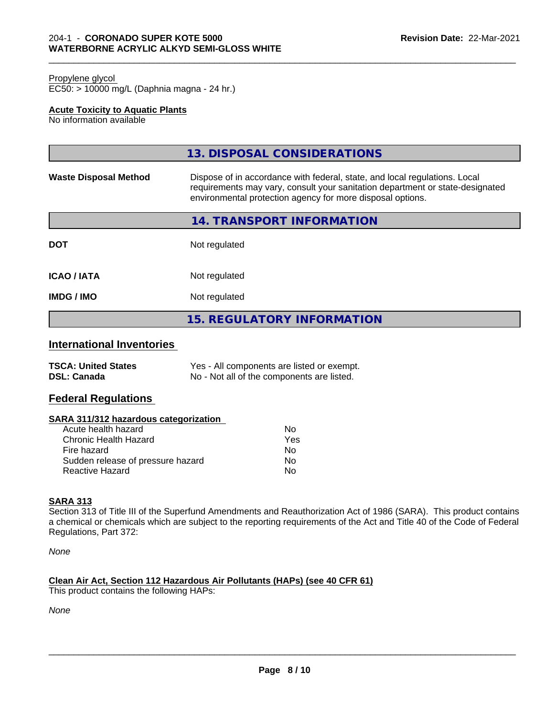#### Propylene glycol

EC50: > 10000 mg/L (Daphnia magna - 24 hr.)

# **Acute Toxicity to Aquatic Plants**

No information available

|                              | 13. DISPOSAL CONSIDERATIONS                                                                                                                                                                                               |
|------------------------------|---------------------------------------------------------------------------------------------------------------------------------------------------------------------------------------------------------------------------|
| <b>Waste Disposal Method</b> | Dispose of in accordance with federal, state, and local regulations. Local<br>requirements may vary, consult your sanitation department or state-designated<br>environmental protection agency for more disposal options. |
|                              | 14. TRANSPORT INFORMATION                                                                                                                                                                                                 |
| <b>DOT</b>                   | Not regulated                                                                                                                                                                                                             |
| <b>ICAO/IATA</b>             | Not regulated                                                                                                                                                                                                             |
| <b>IMDG / IMO</b>            | Not regulated                                                                                                                                                                                                             |
|                              | <b>15. REGULATORY INFORMATION</b>                                                                                                                                                                                         |

\_\_\_\_\_\_\_\_\_\_\_\_\_\_\_\_\_\_\_\_\_\_\_\_\_\_\_\_\_\_\_\_\_\_\_\_\_\_\_\_\_\_\_\_\_\_\_\_\_\_\_\_\_\_\_\_\_\_\_\_\_\_\_\_\_\_\_\_\_\_\_\_\_\_\_\_\_\_\_\_\_\_\_\_\_\_\_\_\_\_\_\_\_

# **International Inventories**

| <b>TSCA: United States</b> | Yes - All components are listed or exempt. |
|----------------------------|--------------------------------------------|
| <b>DSL: Canada</b>         | No - Not all of the components are listed. |

# **Federal Regulations**

# **SARA 311/312 hazardous categorization**

| Acute health hazard               | Nο  |
|-----------------------------------|-----|
| Chronic Health Hazard             | Yes |
| Fire hazard                       | Nο  |
| Sudden release of pressure hazard | N٥  |
| Reactive Hazard                   | N٥  |

# **SARA 313**

Section 313 of Title III of the Superfund Amendments and Reauthorization Act of 1986 (SARA). This product contains a chemical or chemicals which are subject to the reporting requirements of the Act and Title 40 of the Code of Federal Regulations, Part 372:

*None*

# **Clean Air Act,Section 112 Hazardous Air Pollutants (HAPs) (see 40 CFR 61)**

This product contains the following HAPs:

*None*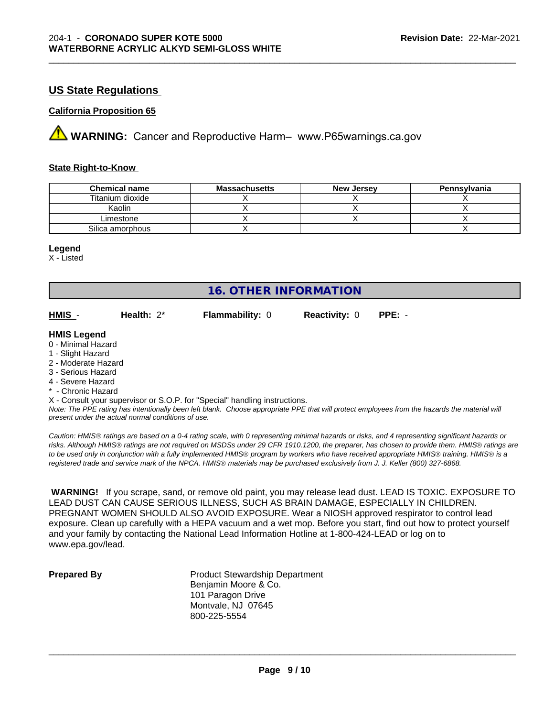# **US State Regulations**

# **California Proposition 65**

**A** WARNING: Cancer and Reproductive Harm– www.P65warnings.ca.gov

#### **State Right-to-Know**

| <b>Chemical name</b> | <b>Massachusetts</b> | <b>New Jersey</b> | Pennsylvania |
|----------------------|----------------------|-------------------|--------------|
| Titanium dioxide     |                      |                   |              |
| Kaolin               |                      |                   |              |
| Limestone            |                      |                   |              |
| Silica amorphous     |                      |                   |              |

#### **Legend**

X - Listed

# **16. OTHER INFORMATION**

**HMIS** - **Health:** 2\* **Flammability:** 0 **Reactivity:** 0 **PPE:** -

\_\_\_\_\_\_\_\_\_\_\_\_\_\_\_\_\_\_\_\_\_\_\_\_\_\_\_\_\_\_\_\_\_\_\_\_\_\_\_\_\_\_\_\_\_\_\_\_\_\_\_\_\_\_\_\_\_\_\_\_\_\_\_\_\_\_\_\_\_\_\_\_\_\_\_\_\_\_\_\_\_\_\_\_\_\_\_\_\_\_\_\_\_

#### **HMIS Legend**

- 0 Minimal Hazard
- 1 Slight Hazard
- 2 Moderate Hazard
- 3 Serious Hazard
- 4 Severe Hazard
- \* Chronic Hazard

X - Consult your supervisor or S.O.P. for "Special" handling instructions.

*Note: The PPE rating has intentionally been left blank. Choose appropriate PPE that will protect employees from the hazards the material will present under the actual normal conditions of use.*

*Caution: HMISÒ ratings are based on a 0-4 rating scale, with 0 representing minimal hazards or risks, and 4 representing significant hazards or risks. Although HMISÒ ratings are not required on MSDSs under 29 CFR 1910.1200, the preparer, has chosen to provide them. HMISÒ ratings are to be used only in conjunction with a fully implemented HMISÒ program by workers who have received appropriate HMISÒ training. HMISÒ is a registered trade and service mark of the NPCA. HMISÒ materials may be purchased exclusively from J. J. Keller (800) 327-6868.*

 **WARNING!** If you scrape, sand, or remove old paint, you may release lead dust. LEAD IS TOXIC. EXPOSURE TO LEAD DUST CAN CAUSE SERIOUS ILLNESS, SUCH AS BRAIN DAMAGE, ESPECIALLY IN CHILDREN. PREGNANT WOMEN SHOULD ALSO AVOID EXPOSURE.Wear a NIOSH approved respirator to control lead exposure. Clean up carefully with a HEPA vacuum and a wet mop. Before you start, find out how to protect yourself and your family by contacting the National Lead Information Hotline at 1-800-424-LEAD or log on to www.epa.gov/lead.

**Prepared By** Product Stewardship Department Benjamin Moore & Co. 101 Paragon Drive Montvale, NJ 07645 800-225-5554